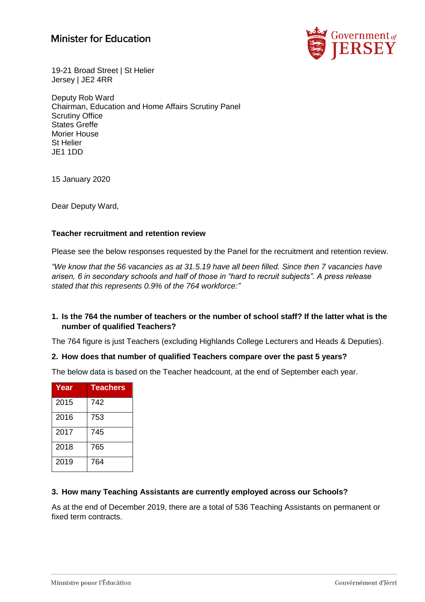# **Minister for Education**



19-21 Broad Street | St Helier Jersey | JE2 4RR

Deputy Rob Ward Chairman, Education and Home Affairs Scrutiny Panel Scrutiny Office States Greffe Morier House St Helier JE1 1DD

15 January 2020

Dear Deputy Ward,

#### **Teacher recruitment and retention review**

Please see the below responses requested by the Panel for the recruitment and retention review.

*"We know that the 56 vacancies as at 31.5.19 have all been filled. Since then 7 vacancies have arisen, 6 in secondary schools and half of those in "hard to recruit subjects". A press release stated that this represents 0.9% of the 764 workforce:"*

#### **1. Is the 764 the number of teachers or the number of school staff? If the latter what is the number of qualified Teachers?**

The 764 figure is just Teachers (excluding Highlands College Lecturers and Heads & Deputies).

#### **2. How does that number of qualified Teachers compare over the past 5 years?**

The below data is based on the Teacher headcount, at the end of September each year.

| Year | <b>Teachers</b> |
|------|-----------------|
| 2015 | 742             |
| 2016 | 753             |
| 2017 | 745             |
| 2018 | 765             |
| 2019 | 764             |

#### **3. How many Teaching Assistants are currently employed across our Schools?**

As at the end of December 2019, there are a total of 536 Teaching Assistants on permanent or fixed term contracts.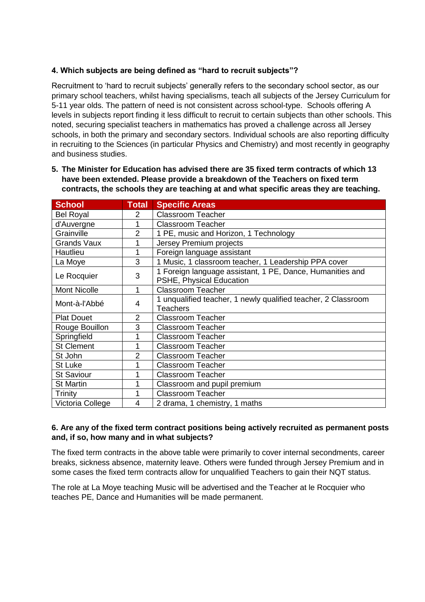# **4. Which subjects are being defined as "hard to recruit subjects"?**

Recruitment to 'hard to recruit subjects' generally refers to the secondary school sector, as our primary school teachers, whilst having specialisms, teach all subjects of the Jersey Curriculum for 5-11 year olds. The pattern of need is not consistent across school-type. Schools offering A levels in subjects report finding it less difficult to recruit to certain subjects than other schools. This noted, securing specialist teachers in mathematics has proved a challenge across all Jersey schools, in both the primary and secondary sectors. Individual schools are also reporting difficulty in recruiting to the Sciences (in particular Physics and Chemistry) and most recently in geography and business studies.

**5. The Minister for Education has advised there are 35 fixed term contracts of which 13 have been extended. Please provide a breakdown of the Teachers on fixed term contracts, the schools they are teaching at and what specific areas they are teaching.**

| <b>School</b>       | <b>Total</b>   | <b>Specific Areas</b>                                                                 |  |
|---------------------|----------------|---------------------------------------------------------------------------------------|--|
| <b>Bel Royal</b>    | 2              | <b>Classroom Teacher</b>                                                              |  |
| d'Auvergne          |                | <b>Classroom Teacher</b>                                                              |  |
| Grainville          | 2              | 1 PE, music and Horizon, 1 Technology                                                 |  |
| <b>Grands Vaux</b>  |                | Jersey Premium projects                                                               |  |
| Hautlieu            |                | Foreign language assistant                                                            |  |
| La Moye             | 3              | 1 Music, 1 classroom teacher, 1 Leadership PPA cover                                  |  |
| Le Rocquier         | 3              | 1 Foreign language assistant, 1 PE, Dance, Humanities and<br>PSHE, Physical Education |  |
| <b>Mont Nicolle</b> | 1              | <b>Classroom Teacher</b>                                                              |  |
| Mont-à-l'Abbé       | 4              | 1 unqualified teacher, 1 newly qualified teacher, 2 Classroom<br>Teachers             |  |
| <b>Plat Douet</b>   | $\overline{2}$ | <b>Classroom Teacher</b>                                                              |  |
| Rouge Bouillon      | 3              | <b>Classroom Teacher</b>                                                              |  |
| Springfield         |                | <b>Classroom Teacher</b>                                                              |  |
| <b>St Clement</b>   |                | <b>Classroom Teacher</b>                                                              |  |
| St John             | $\overline{2}$ | <b>Classroom Teacher</b>                                                              |  |
| St Luke             |                | <b>Classroom Teacher</b>                                                              |  |
| <b>St Saviour</b>   |                | <b>Classroom Teacher</b>                                                              |  |
| <b>St Martin</b>    |                | Classroom and pupil premium                                                           |  |
| Trinity             |                | <b>Classroom Teacher</b>                                                              |  |
| Victoria College    | 4              | 2 drama, 1 chemistry, 1 maths                                                         |  |

### **6. Are any of the fixed term contract positions being actively recruited as permanent posts and, if so, how many and in what subjects?**

The fixed term contracts in the above table were primarily to cover internal secondments, career breaks, sickness absence, maternity leave. Others were funded through Jersey Premium and in some cases the fixed term contracts allow for unqualified Teachers to gain their NQT status.

The role at La Moye teaching Music will be advertised and the Teacher at le Rocquier who teaches PE, Dance and Humanities will be made permanent.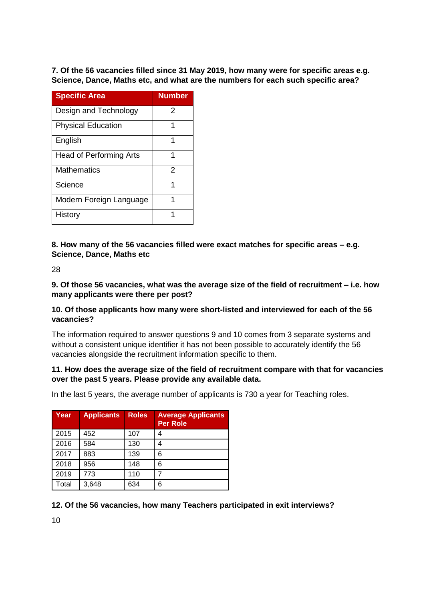**7. Of the 56 vacancies filled since 31 May 2019, how many were for specific areas e.g. Science, Dance, Maths etc, and what are the numbers for each such specific area?** 

| <b>Specific Area</b>           | <b>Number</b> |
|--------------------------------|---------------|
| Design and Technology          | 2             |
| <b>Physical Education</b>      |               |
| English                        |               |
| <b>Head of Performing Arts</b> |               |
| <b>Mathematics</b>             | 2             |
| Science                        |               |
| Modern Foreign Language        |               |
| History                        |               |

**8. How many of the 56 vacancies filled were exact matches for specific areas – e.g. Science, Dance, Maths etc** 

28

**9. Of those 56 vacancies, what was the average size of the field of recruitment – i.e. how many applicants were there per post?** 

### **10. Of those applicants how many were short-listed and interviewed for each of the 56 vacancies?**

The information required to answer questions 9 and 10 comes from 3 separate systems and without a consistent unique identifier it has not been possible to accurately identify the 56 vacancies alongside the recruitment information specific to them.

### **11. How does the average size of the field of recruitment compare with that for vacancies over the past 5 years. Please provide any available data.**

In the last 5 years, the average number of applicants is 730 a year for Teaching roles.

| Year  | <b>Applicants</b> | <b>Roles</b> | <b>Average Applicants</b><br><b>Per Role</b> |
|-------|-------------------|--------------|----------------------------------------------|
| 2015  | 452               | 107          |                                              |
| 2016  | 584               | 130          |                                              |
| 2017  | 883               | 139          | 6                                            |
| 2018  | 956               | 148          | 6                                            |
| 2019  | 773               | 110          |                                              |
| Total | 3,648             | 634          | 6                                            |

# **12. Of the 56 vacancies, how many Teachers participated in exit interviews?**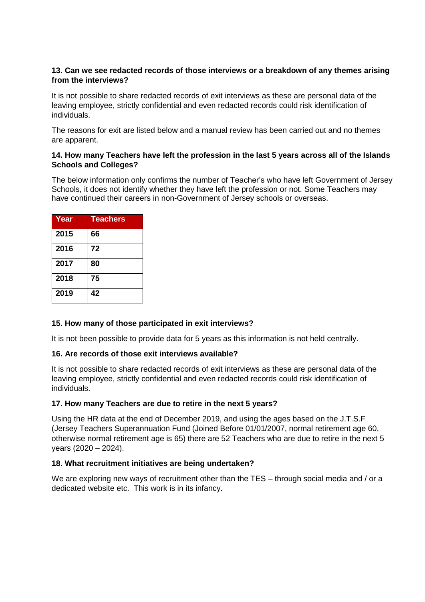# **13. Can we see redacted records of those interviews or a breakdown of any themes arising from the interviews?**

It is not possible to share redacted records of exit interviews as these are personal data of the leaving employee, strictly confidential and even redacted records could risk identification of individuals.

The reasons for exit are listed below and a manual review has been carried out and no themes are apparent.

### **14. How many Teachers have left the profession in the last 5 years across all of the Islands Schools and Colleges?**

The below information only confirms the number of Teacher's who have left Government of Jersey Schools, it does not identify whether they have left the profession or not. Some Teachers may have continued their careers in non-Government of Jersey schools or overseas.

| Year | <b>Teachers</b> |
|------|-----------------|
| 2015 | 66              |
| 2016 | 72              |
| 2017 | 80              |
| 2018 | 75              |
| 2019 | 42              |

# **15. How many of those participated in exit interviews?**

It is not been possible to provide data for 5 years as this information is not held centrally.

# **16. Are records of those exit interviews available?**

It is not possible to share redacted records of exit interviews as these are personal data of the leaving employee, strictly confidential and even redacted records could risk identification of individuals.

# **17. How many Teachers are due to retire in the next 5 years?**

Using the HR data at the end of December 2019, and using the ages based on the J.T.S.F (Jersey Teachers Superannuation Fund (Joined Before 01/01/2007, normal retirement age 60, otherwise normal retirement age is 65) there are 52 Teachers who are due to retire in the next 5 years (2020 – 2024).

#### **18. What recruitment initiatives are being undertaken?**

We are exploring new ways of recruitment other than the TES – through social media and / or a dedicated website etc. This work is in its infancy.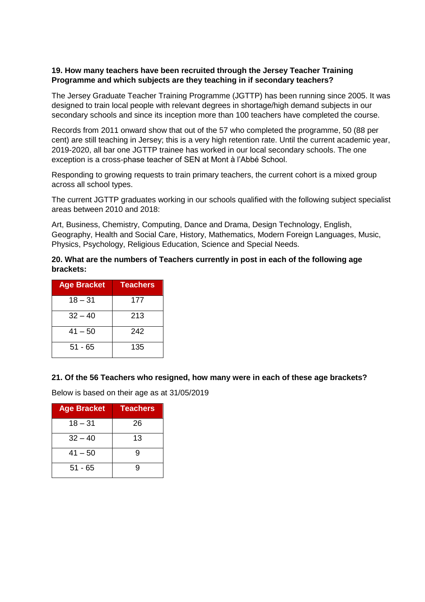### **19. How many teachers have been recruited through the Jersey Teacher Training Programme and which subjects are they teaching in if secondary teachers?**

The Jersey Graduate Teacher Training Programme (JGTTP) has been running since 2005. It was designed to train local people with relevant degrees in shortage/high demand subjects in our secondary schools and since its inception more than 100 teachers have completed the course.

Records from 2011 onward show that out of the 57 who completed the programme, 50 (88 per cent) are still teaching in Jersey; this is a very high retention rate. Until the current academic year, 2019-2020, all bar one JGTTP trainee has worked in our local secondary schools. The one exception is a cross-phase teacher of SEN at Mont à l'Abbé School.

Responding to growing requests to train primary teachers, the current cohort is a mixed group across all school types.

The current JGTTP graduates working in our schools qualified with the following subject specialist areas between 2010 and 2018:

Art, Business, Chemistry, Computing, Dance and Drama, Design Technology, English, Geography, Health and Social Care, History, Mathematics, Modern Foreign Languages, Music, Physics, Psychology, Religious Education, Science and Special Needs.

### **20. What are the numbers of Teachers currently in post in each of the following age brackets:**

| <b>Age Bracket</b> | <b>Teachers</b> |
|--------------------|-----------------|
| $18 - 31$          | 177             |
| $32 - 40$          | 213             |
| $41 - 50$          | 242             |
| $51 - 65$          | 135             |

#### **21. Of the 56 Teachers who resigned, how many were in each of these age brackets?**

Below is based on their age as at 31/05/2019

| <b>Age Bracket</b> | <b>Teachers</b> |
|--------------------|-----------------|
| $18 - 31$          | 26              |
| $32 - 40$          | 13              |
| $41 - 50$          | g               |
| $51 - 65$          | q               |